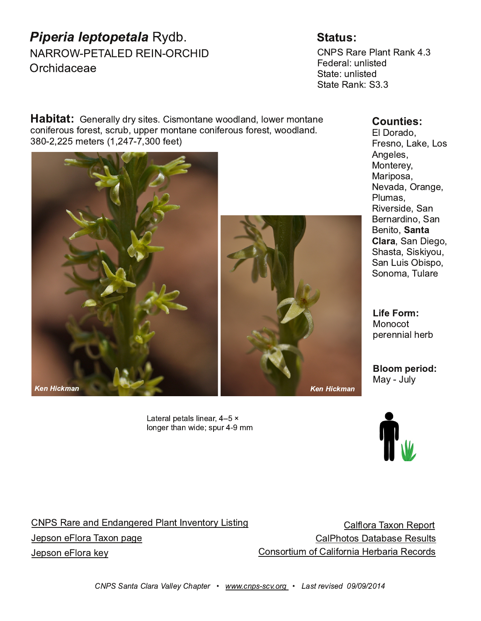|                                                                | $8@+$                                                                                                                                     |                                                                                                                                                                                                                                                 |
|----------------------------------------------------------------|-------------------------------------------------------------------------------------------------------------------------------------------|-------------------------------------------------------------------------------------------------------------------------------------------------------------------------------------------------------------------------------------------------|
| # &&\$) % (! & # \$&<br>$$912$ <sup>*</sup> , . <sup>*</sup> . |                                                                                                                                           | #% &*9 % #6; &*63<br>$. -.974 < 64$ :                                                                                                                                                                                                           |
| 5:3                                                            | $.6.94099022$ : $2576$ ; $6. > 77 - 46 - 4 > .9576$ ; $6.$<br>, 762. 97<: /79:;:, 9<+ <88. 95 76;*6. , 762. 97<: /79:; >77-46-<br>$/$ . ; | 4 79 - 7<br>$9:67$ ! $*3$ . ! 7:<br>60.4:<br>" 76; 9 @<br>$" * 987:$<br>$\#$ . = $*$ - $*$ \$9.60.<br>$%5$ $*$ :<br>$82.92.$ $*6$<br>$.96*9487$ ' *6<br>.627<br>$1 * 6$ 207<br>$' 1^*$ : ;* $' 23207$ <<br>$'$ *6 ! <2 \$ +287<br>$'7675'$ (<49 |
|                                                                |                                                                                                                                           | "767,7;<br>8.9 662 41.9+                                                                                                                                                                                                                        |
|                                                                |                                                                                                                                           | " * $@$<br>-40                                                                                                                                                                                                                                  |

 $!$  \*;  $.948$ .; \*446. \*9BD  $\sqrt{460.9}$ ; 1\*6 > 2. : 8<9 55

 $\frac{\# \%}{\& 8 \times 9 \times 6}$  6- 6- 60. 9 -  $\frac{\%}{\%}$  6; 6= 6;7900 2; 260 \*449 (\*?76 & 879  $.8:76.99$  (\* ?768\*0. \* 4%17;7: \*;\* +\*: . & .: <4:  $76:7925$  7/  $*47952$   $9*92$  8., 79:  $.8:76.4993.@$